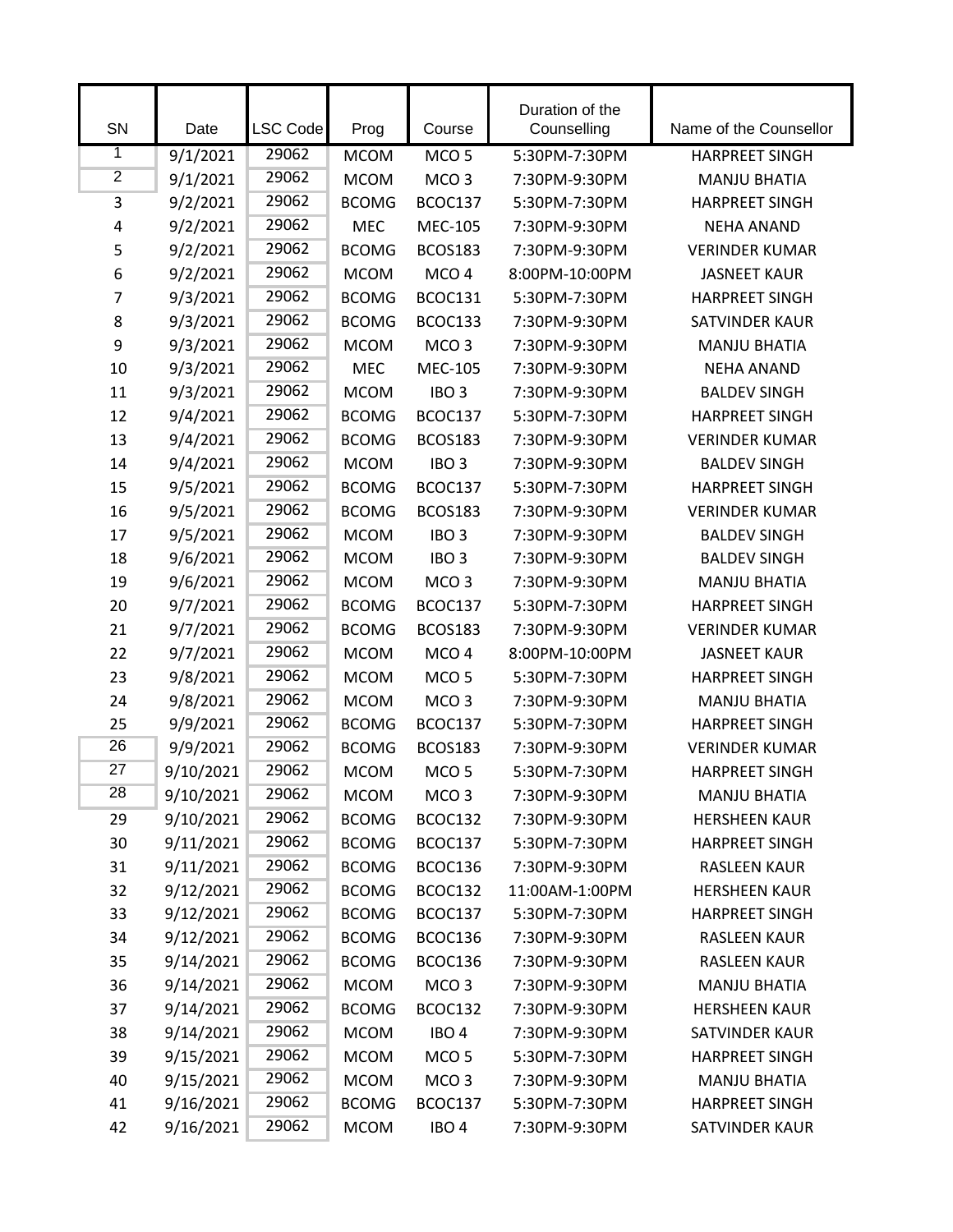|                |           |          |              |                  | Duration of the |                        |
|----------------|-----------|----------|--------------|------------------|-----------------|------------------------|
| SN             | Date      | LSC Code | Prog         | Course           | Counselling     | Name of the Counsellor |
| $\overline{1}$ | 9/1/2021  | 29062    | <b>MCOM</b>  | MCO <sub>5</sub> | 5:30PM-7:30PM   | <b>HARPREET SINGH</b>  |
| $\overline{2}$ | 9/1/2021  | 29062    | <b>MCOM</b>  | MCO <sub>3</sub> | 7:30PM-9:30PM   | <b>MANJU BHATIA</b>    |
| 3              | 9/2/2021  | 29062    | <b>BCOMG</b> | BCOC137          | 5:30PM-7:30PM   | <b>HARPREET SINGH</b>  |
| 4              | 9/2/2021  | 29062    | <b>MEC</b>   | <b>MEC-105</b>   | 7:30PM-9:30PM   | <b>NEHA ANAND</b>      |
| 5              | 9/2/2021  | 29062    | <b>BCOMG</b> | <b>BCOS183</b>   | 7:30PM-9:30PM   | <b>VERINDER KUMAR</b>  |
| 6              | 9/2/2021  | 29062    | <b>MCOM</b>  | MCO <sub>4</sub> | 8:00PM-10:00PM  | <b>JASNEET KAUR</b>    |
| $\overline{7}$ | 9/3/2021  | 29062    | <b>BCOMG</b> | BCOC131          | 5:30PM-7:30PM   | <b>HARPREET SINGH</b>  |
| 8              | 9/3/2021  | 29062    | <b>BCOMG</b> | BCOC133          | 7:30PM-9:30PM   | <b>SATVINDER KAUR</b>  |
| 9              | 9/3/2021  | 29062    | <b>MCOM</b>  | MCO <sub>3</sub> | 7:30PM-9:30PM   | <b>MANJU BHATIA</b>    |
| 10             | 9/3/2021  | 29062    | <b>MEC</b>   | <b>MEC-105</b>   | 7:30PM-9:30PM   | <b>NEHA ANAND</b>      |
| 11             | 9/3/2021  | 29062    | <b>MCOM</b>  | IBO <sub>3</sub> | 7:30PM-9:30PM   | <b>BALDEV SINGH</b>    |
| 12             | 9/4/2021  | 29062    | <b>BCOMG</b> | BCOC137          | 5:30PM-7:30PM   | <b>HARPREET SINGH</b>  |
| 13             | 9/4/2021  | 29062    | <b>BCOMG</b> | <b>BCOS183</b>   | 7:30PM-9:30PM   | <b>VERINDER KUMAR</b>  |
| 14             | 9/4/2021  | 29062    | <b>MCOM</b>  | IBO <sub>3</sub> | 7:30PM-9:30PM   | <b>BALDEV SINGH</b>    |
| 15             | 9/5/2021  | 29062    | <b>BCOMG</b> | BCOC137          | 5:30PM-7:30PM   | <b>HARPREET SINGH</b>  |
| 16             | 9/5/2021  | 29062    | <b>BCOMG</b> | <b>BCOS183</b>   | 7:30PM-9:30PM   | <b>VERINDER KUMAR</b>  |
| 17             | 9/5/2021  | 29062    | <b>MCOM</b>  | IBO <sub>3</sub> | 7:30PM-9:30PM   | <b>BALDEV SINGH</b>    |
| 18             | 9/6/2021  | 29062    | <b>MCOM</b>  | IBO <sub>3</sub> | 7:30PM-9:30PM   | <b>BALDEV SINGH</b>    |
| 19             | 9/6/2021  | 29062    | <b>MCOM</b>  | MCO <sub>3</sub> | 7:30PM-9:30PM   | <b>MANJU BHATIA</b>    |
| 20             | 9/7/2021  | 29062    | <b>BCOMG</b> | BCOC137          | 5:30PM-7:30PM   | <b>HARPREET SINGH</b>  |
| 21             | 9/7/2021  | 29062    | <b>BCOMG</b> | <b>BCOS183</b>   | 7:30PM-9:30PM   | <b>VERINDER KUMAR</b>  |
| 22             | 9/7/2021  | 29062    | <b>MCOM</b>  | MCO <sub>4</sub> | 8:00PM-10:00PM  | <b>JASNEET KAUR</b>    |
| 23             | 9/8/2021  | 29062    | <b>MCOM</b>  | MCO <sub>5</sub> | 5:30PM-7:30PM   | <b>HARPREET SINGH</b>  |
| 24             | 9/8/2021  | 29062    | <b>MCOM</b>  | MCO <sub>3</sub> | 7:30PM-9:30PM   | <b>MANJU BHATIA</b>    |
| 25             | 9/9/2021  | 29062    | <b>BCOMG</b> | BCOC137          | 5:30PM-7:30PM   | <b>HARPREET SINGH</b>  |
| 26             | 9/9/2021  | 29062    | <b>BCOMG</b> | <b>BCOS183</b>   | 7:30PM-9:30PM   | <b>VERINDER KUMAR</b>  |
| 27             | 9/10/2021 | 29062    | <b>MCOM</b>  | MCO <sub>5</sub> | 5:30PM-7:30PM   | <b>HARPREET SINGH</b>  |
| 28             | 9/10/2021 | 29062    | <b>MCOM</b>  | MCO <sub>3</sub> | 7:30PM-9:30PM   | <b>MANJU BHATIA</b>    |
| 29             | 9/10/2021 | 29062    | <b>BCOMG</b> | BCOC132          | 7:30PM-9:30PM   | <b>HERSHEEN KAUR</b>   |
| 30             | 9/11/2021 | 29062    | <b>BCOMG</b> | BCOC137          | 5:30PM-7:30PM   | <b>HARPREET SINGH</b>  |
| 31             | 9/11/2021 | 29062    | <b>BCOMG</b> | BCOC136          | 7:30PM-9:30PM   | <b>RASLEEN KAUR</b>    |
| 32             | 9/12/2021 | 29062    | <b>BCOMG</b> | BCOC132          | 11:00AM-1:00PM  | <b>HERSHEEN KAUR</b>   |
| 33             | 9/12/2021 | 29062    | <b>BCOMG</b> | BCOC137          | 5:30PM-7:30PM   | <b>HARPREET SINGH</b>  |
| 34             | 9/12/2021 | 29062    | <b>BCOMG</b> | BCOC136          | 7:30PM-9:30PM   | <b>RASLEEN KAUR</b>    |
| 35             | 9/14/2021 | 29062    | <b>BCOMG</b> | BCOC136          | 7:30PM-9:30PM   | <b>RASLEEN KAUR</b>    |
| 36             | 9/14/2021 | 29062    | <b>MCOM</b>  | MCO <sub>3</sub> | 7:30PM-9:30PM   | <b>MANJU BHATIA</b>    |
| 37             | 9/14/2021 | 29062    | <b>BCOMG</b> | BCOC132          | 7:30PM-9:30PM   | <b>HERSHEEN KAUR</b>   |
| 38             | 9/14/2021 | 29062    | <b>MCOM</b>  | IBO <sub>4</sub> | 7:30PM-9:30PM   | <b>SATVINDER KAUR</b>  |
| 39             | 9/15/2021 | 29062    | <b>MCOM</b>  | MCO <sub>5</sub> | 5:30PM-7:30PM   | <b>HARPREET SINGH</b>  |
| 40             | 9/15/2021 | 29062    | <b>MCOM</b>  | MCO <sub>3</sub> | 7:30PM-9:30PM   | <b>MANJU BHATIA</b>    |
| 41             | 9/16/2021 | 29062    | <b>BCOMG</b> | BCOC137          | 5:30PM-7:30PM   | <b>HARPREET SINGH</b>  |
| 42             | 9/16/2021 | 29062    | <b>MCOM</b>  | IBO <sub>4</sub> | 7:30PM-9:30PM   | SATVINDER KAUR         |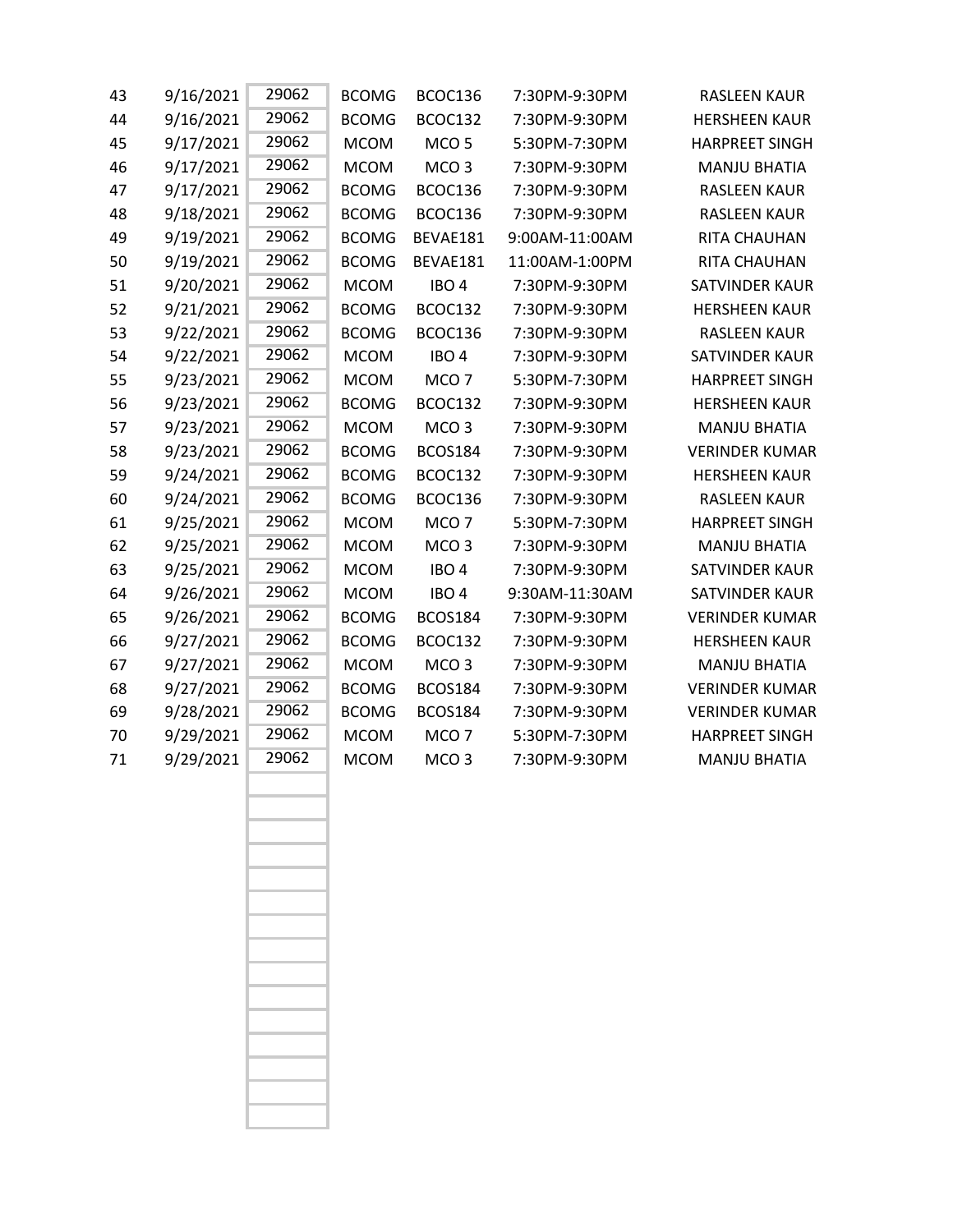| 43 | 9/16/2021 | 29062 | <b>BCOMG</b> | BCOC136          | 7:30PM-9:30PM  | <b>RASLEEN KAUR</b>   |
|----|-----------|-------|--------------|------------------|----------------|-----------------------|
| 44 | 9/16/2021 | 29062 | <b>BCOMG</b> | BCOC132          | 7:30PM-9:30PM  | <b>HERSHEEN KAUR</b>  |
| 45 | 9/17/2021 | 29062 | <b>MCOM</b>  | MCO <sub>5</sub> | 5:30PM-7:30PM  | <b>HARPREET SINGH</b> |
| 46 | 9/17/2021 | 29062 | <b>MCOM</b>  | MCO <sub>3</sub> | 7:30PM-9:30PM  | <b>MANJU BHATIA</b>   |
| 47 | 9/17/2021 | 29062 | <b>BCOMG</b> | BCOC136          | 7:30PM-9:30PM  | <b>RASLEEN KAUR</b>   |
| 48 | 9/18/2021 | 29062 | <b>BCOMG</b> | BCOC136          | 7:30PM-9:30PM  | <b>RASLEEN KAUR</b>   |
| 49 | 9/19/2021 | 29062 | <b>BCOMG</b> | BEVAE181         | 9:00AM-11:00AM | RITA CHAUHAN          |
| 50 | 9/19/2021 | 29062 | <b>BCOMG</b> | BEVAE181         | 11:00AM-1:00PM | RITA CHAUHAN          |
| 51 | 9/20/2021 | 29062 | <b>MCOM</b>  | IBO <sub>4</sub> | 7:30PM-9:30PM  | SATVINDER KAUR        |
| 52 | 9/21/2021 | 29062 | <b>BCOMG</b> | BCOC132          | 7:30PM-9:30PM  | <b>HERSHEEN KAUR</b>  |
| 53 | 9/22/2021 | 29062 | <b>BCOMG</b> | BCOC136          | 7:30PM-9:30PM  | <b>RASLEEN KAUR</b>   |
| 54 | 9/22/2021 | 29062 | <b>MCOM</b>  | IBO <sub>4</sub> | 7:30PM-9:30PM  | <b>SATVINDER KAUR</b> |
| 55 | 9/23/2021 | 29062 | <b>MCOM</b>  | MCO <sub>7</sub> | 5:30PM-7:30PM  | <b>HARPREET SINGH</b> |
| 56 | 9/23/2021 | 29062 | <b>BCOMG</b> | BCOC132          | 7:30PM-9:30PM  | <b>HERSHEEN KAUR</b>  |
| 57 | 9/23/2021 | 29062 | <b>MCOM</b>  | MCO <sub>3</sub> | 7:30PM-9:30PM  | <b>MANJU BHATIA</b>   |
| 58 | 9/23/2021 | 29062 | <b>BCOMG</b> | <b>BCOS184</b>   | 7:30PM-9:30PM  | <b>VERINDER KUMAR</b> |
| 59 | 9/24/2021 | 29062 | <b>BCOMG</b> | BCOC132          | 7:30PM-9:30PM  | <b>HERSHEEN KAUR</b>  |
| 60 | 9/24/2021 | 29062 | <b>BCOMG</b> | BCOC136          | 7:30PM-9:30PM  | <b>RASLEEN KAUR</b>   |
| 61 | 9/25/2021 | 29062 | <b>MCOM</b>  | MCO <sub>7</sub> | 5:30PM-7:30PM  | <b>HARPREET SINGH</b> |
| 62 | 9/25/2021 | 29062 | <b>MCOM</b>  | MCO <sub>3</sub> | 7:30PM-9:30PM  | <b>MANJU BHATIA</b>   |
| 63 | 9/25/2021 | 29062 | <b>MCOM</b>  | IBO <sub>4</sub> | 7:30PM-9:30PM  | SATVINDER KAUR        |
| 64 | 9/26/2021 | 29062 | <b>MCOM</b>  | IBO <sub>4</sub> | 9:30AM-11:30AM | <b>SATVINDER KAUR</b> |
| 65 | 9/26/2021 | 29062 | <b>BCOMG</b> | <b>BCOS184</b>   | 7:30PM-9:30PM  | <b>VERINDER KUMAR</b> |
| 66 | 9/27/2021 | 29062 | <b>BCOMG</b> | BCOC132          | 7:30PM-9:30PM  | <b>HERSHEEN KAUR</b>  |
| 67 | 9/27/2021 | 29062 | <b>MCOM</b>  | MCO <sub>3</sub> | 7:30PM-9:30PM  | <b>MANJU BHATIA</b>   |
| 68 | 9/27/2021 | 29062 | <b>BCOMG</b> | <b>BCOS184</b>   | 7:30PM-9:30PM  | <b>VERINDER KUMAR</b> |
| 69 | 9/28/2021 | 29062 | <b>BCOMG</b> | <b>BCOS184</b>   | 7:30PM-9:30PM  | <b>VERINDER KUMAR</b> |
| 70 | 9/29/2021 | 29062 | <b>MCOM</b>  | MCO <sub>7</sub> | 5:30PM-7:30PM  | <b>HARPREET SINGH</b> |
| 71 | 9/29/2021 | 29062 | <b>MCOM</b>  | MCO <sub>3</sub> | 7:30PM-9:30PM  | <b>MANJU BHATIA</b>   |
|    |           |       |              |                  |                |                       |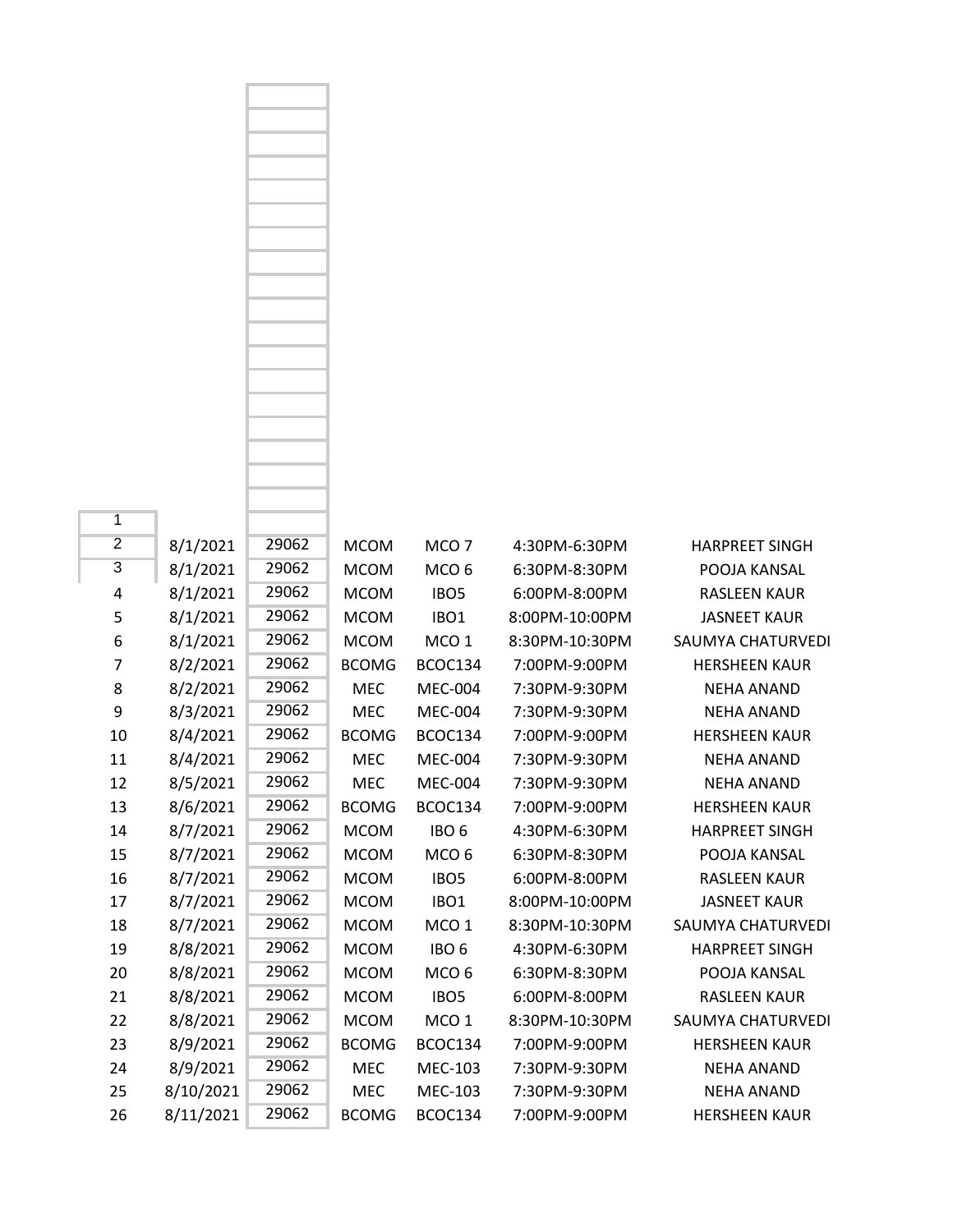| $\overline{1}$ |           |       |              |                  |                |                          |
|----------------|-----------|-------|--------------|------------------|----------------|--------------------------|
| $\overline{2}$ | 8/1/2021  | 29062 | <b>MCOM</b>  | MCO <sub>7</sub> | 4:30PM-6:30PM  | <b>HARPREET SINGH</b>    |
| $\overline{3}$ | 8/1/2021  | 29062 | <b>MCOM</b>  | MCO <sub>6</sub> | 6:30PM-8:30PM  | POOJA KANSAL             |
| 4              | 8/1/2021  | 29062 | <b>MCOM</b>  | IBO <sub>5</sub> | 6:00PM-8:00PM  | <b>RASLEEN KAUR</b>      |
| 5              | 8/1/2021  | 29062 | <b>MCOM</b>  | IBO1             | 8:00PM-10:00PM | <b>JASNEET KAUR</b>      |
| 6              | 8/1/2021  | 29062 | <b>MCOM</b>  | MCO <sub>1</sub> | 8:30PM-10:30PM | <b>SAUMYA CHATURVEDI</b> |
| 7              | 8/2/2021  | 29062 | <b>BCOMG</b> | BCOC134          | 7:00PM-9:00PM  | <b>HERSHEEN KAUR</b>     |
| 8              | 8/2/2021  | 29062 | <b>MEC</b>   | <b>MEC-004</b>   | 7:30PM-9:30PM  | <b>NEHA ANAND</b>        |
| 9              | 8/3/2021  | 29062 | MEC          | <b>MEC-004</b>   | 7:30PM-9:30PM  | <b>NEHA ANAND</b>        |
| 10             | 8/4/2021  | 29062 | <b>BCOMG</b> | BCOC134          | 7:00PM-9:00PM  | <b>HERSHEEN KAUR</b>     |
| 11             | 8/4/2021  | 29062 | <b>MEC</b>   | <b>MEC-004</b>   | 7:30PM-9:30PM  | <b>NEHA ANAND</b>        |
| 12             | 8/5/2021  | 29062 | MEC          | <b>MEC-004</b>   | 7:30PM-9:30PM  | <b>NEHA ANAND</b>        |
| 13             | 8/6/2021  | 29062 | <b>BCOMG</b> | BCOC134          | 7:00PM-9:00PM  | <b>HERSHEEN KAUR</b>     |
| 14             | 8/7/2021  | 29062 | <b>MCOM</b>  | IBO <sub>6</sub> | 4:30PM-6:30PM  | <b>HARPREET SINGH</b>    |
| 15             | 8/7/2021  | 29062 | <b>MCOM</b>  | MCO <sub>6</sub> | 6:30PM-8:30PM  | POOJA KANSAL             |
| 16             | 8/7/2021  | 29062 | <b>MCOM</b>  | IBO <sub>5</sub> | 6:00PM-8:00PM  | <b>RASLEEN KAUR</b>      |
| 17             | 8/7/2021  | 29062 | <b>MCOM</b>  | IBO1             | 8:00PM-10:00PM | <b>JASNEET KAUR</b>      |
| 18             | 8/7/2021  | 29062 | <b>MCOM</b>  | MCO <sub>1</sub> | 8:30PM-10:30PM | <b>SAUMYA CHATURVEDI</b> |
| 19             | 8/8/2021  | 29062 | <b>MCOM</b>  | IBO <sub>6</sub> | 4:30PM-6:30PM  | <b>HARPREET SINGH</b>    |
| 20             | 8/8/2021  | 29062 | <b>MCOM</b>  | MCO <sub>6</sub> | 6:30PM-8:30PM  | POOJA KANSAL             |
| 21             | 8/8/2021  | 29062 | <b>MCOM</b>  | IBO <sub>5</sub> | 6:00PM-8:00PM  | <b>RASLEEN KAUR</b>      |
| 22             | 8/8/2021  | 29062 | <b>MCOM</b>  | MCO <sub>1</sub> | 8:30PM-10:30PM | SAUMYA CHATURVEDI        |
| 23             | 8/9/2021  | 29062 | <b>BCOMG</b> | BCOC134          | 7:00PM-9:00PM  | <b>HERSHEEN KAUR</b>     |
| 24             | 8/9/2021  | 29062 | <b>MEC</b>   | MEC-103          | 7:30PM-9:30PM  | <b>NEHA ANAND</b>        |
| 25             | 8/10/2021 | 29062 | <b>MEC</b>   | MEC-103          | 7:30PM-9:30PM  | <b>NEHA ANAND</b>        |
| 26             | 8/11/2021 | 29062 | <b>BCOMG</b> | BCOC134          | 7:00PM-9:00PM  | <b>HERSHEEN KAUR</b>     |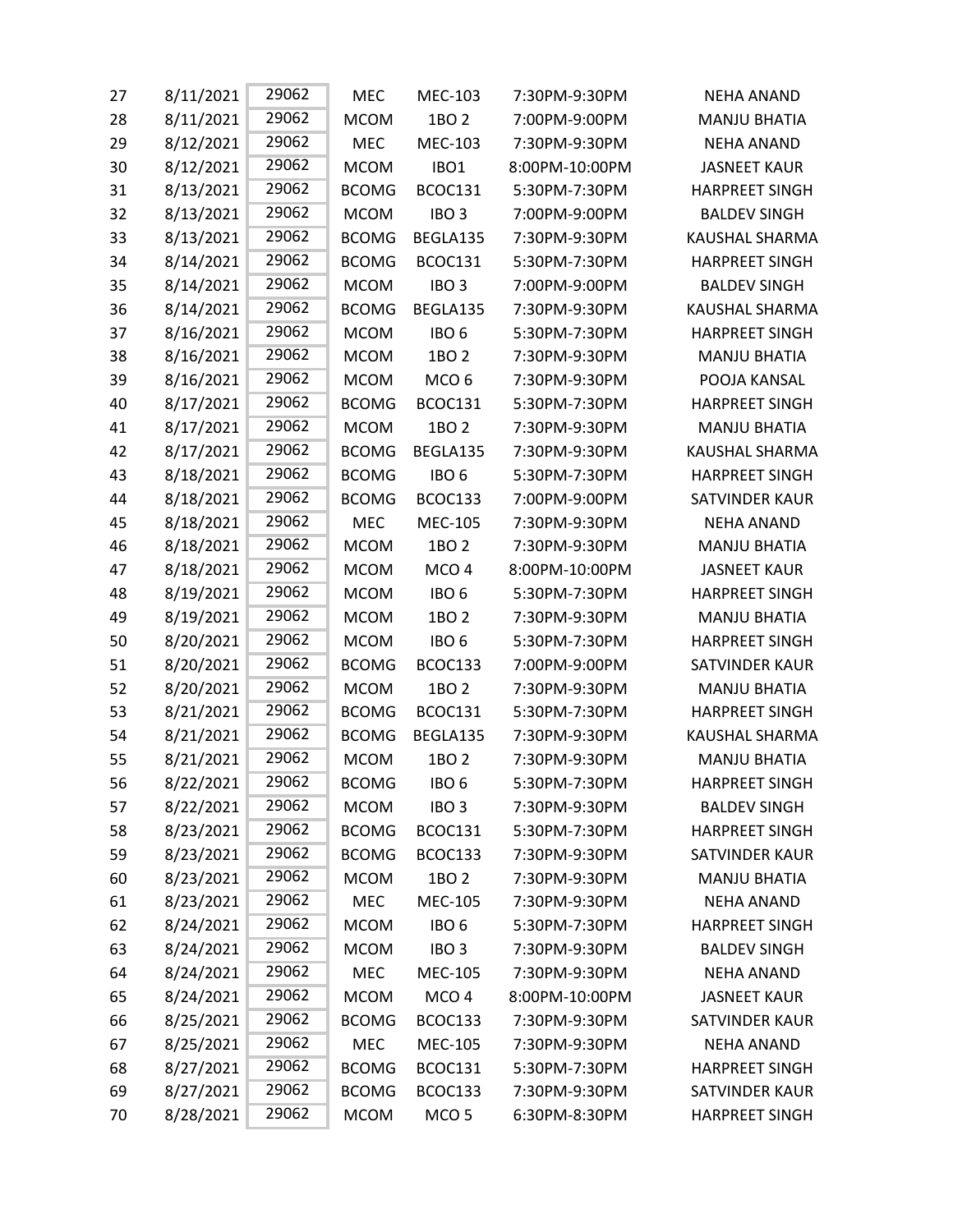| 27 | 8/11/2021 | 29062 | <b>MEC</b>   | <b>MEC-103</b>   | 7:30PM-9:30PM  | <b>NEHA ANAND</b>     |
|----|-----------|-------|--------------|------------------|----------------|-----------------------|
| 28 | 8/11/2021 | 29062 | <b>MCOM</b>  | 1BO 2            | 7:00PM-9:00PM  | <b>MANJU BHATIA</b>   |
| 29 | 8/12/2021 | 29062 | <b>MEC</b>   | <b>MEC-103</b>   | 7:30PM-9:30PM  | NEHA ANAND            |
| 30 | 8/12/2021 | 29062 | <b>MCOM</b>  | IBO1             | 8:00PM-10:00PM | <b>JASNEET KAUR</b>   |
| 31 | 8/13/2021 | 29062 | <b>BCOMG</b> | BCOC131          | 5:30PM-7:30PM  | <b>HARPREET SINGH</b> |
| 32 | 8/13/2021 | 29062 | <b>MCOM</b>  | IBO <sub>3</sub> | 7:00PM-9:00PM  | <b>BALDEV SINGH</b>   |
| 33 | 8/13/2021 | 29062 | <b>BCOMG</b> | BEGLA135         | 7:30PM-9:30PM  | <b>KAUSHAL SHARMA</b> |
| 34 | 8/14/2021 | 29062 | <b>BCOMG</b> | BCOC131          | 5:30PM-7:30PM  | <b>HARPREET SINGH</b> |
| 35 | 8/14/2021 | 29062 | <b>MCOM</b>  | IBO <sub>3</sub> | 7:00PM-9:00PM  | <b>BALDEV SINGH</b>   |
| 36 | 8/14/2021 | 29062 | <b>BCOMG</b> | BEGLA135         | 7:30PM-9:30PM  | <b>KAUSHAL SHARMA</b> |
| 37 | 8/16/2021 | 29062 | <b>MCOM</b>  | IBO <sub>6</sub> | 5:30PM-7:30PM  | <b>HARPREET SINGH</b> |
| 38 | 8/16/2021 | 29062 | <b>MCOM</b>  | 1BO 2            | 7:30PM-9:30PM  | <b>MANJU BHATIA</b>   |
| 39 | 8/16/2021 | 29062 | <b>MCOM</b>  | MCO <sub>6</sub> | 7:30PM-9:30PM  | POOJA KANSAL          |
| 40 | 8/17/2021 | 29062 | <b>BCOMG</b> | BCOC131          | 5:30PM-7:30PM  | <b>HARPREET SINGH</b> |
| 41 | 8/17/2021 | 29062 | <b>MCOM</b>  | 1BO 2            | 7:30PM-9:30PM  | <b>MANJU BHATIA</b>   |
| 42 | 8/17/2021 | 29062 | <b>BCOMG</b> | BEGLA135         | 7:30PM-9:30PM  | <b>KAUSHAL SHARMA</b> |
| 43 | 8/18/2021 | 29062 | <b>BCOMG</b> | IBO <sub>6</sub> | 5:30PM-7:30PM  | <b>HARPREET SINGH</b> |
| 44 | 8/18/2021 | 29062 | <b>BCOMG</b> | BCOC133          | 7:00PM-9:00PM  | SATVINDER KAUR        |
| 45 | 8/18/2021 | 29062 | <b>MEC</b>   | <b>MEC-105</b>   | 7:30PM-9:30PM  | <b>NEHA ANAND</b>     |
| 46 | 8/18/2021 | 29062 | <b>MCOM</b>  | 1BO 2            | 7:30PM-9:30PM  | <b>MANJU BHATIA</b>   |
| 47 | 8/18/2021 | 29062 | <b>MCOM</b>  | MCO <sub>4</sub> | 8:00PM-10:00PM | <b>JASNEET KAUR</b>   |
| 48 | 8/19/2021 | 29062 | <b>MCOM</b>  | IBO <sub>6</sub> | 5:30PM-7:30PM  | <b>HARPREET SINGH</b> |
| 49 | 8/19/2021 | 29062 | <b>MCOM</b>  | 1BO 2            | 7:30PM-9:30PM  | <b>MANJU BHATIA</b>   |
| 50 | 8/20/2021 | 29062 | <b>MCOM</b>  | IBO <sub>6</sub> | 5:30PM-7:30PM  | <b>HARPREET SINGH</b> |
| 51 | 8/20/2021 | 29062 | <b>BCOMG</b> | BCOC133          | 7:00PM-9:00PM  | <b>SATVINDER KAUR</b> |
| 52 | 8/20/2021 | 29062 | <b>MCOM</b>  | 1BO 2            | 7:30PM-9:30PM  | <b>MANJU BHATIA</b>   |
| 53 | 8/21/2021 | 29062 | <b>BCOMG</b> | BCOC131          | 5:30PM-7:30PM  | <b>HARPREET SINGH</b> |
| 54 | 8/21/2021 | 29062 | <b>BCOMG</b> | BEGLA135         | 7:30PM-9:30PM  | <b>KAUSHAL SHARMA</b> |
| 55 | 8/21/2021 | 29062 | <b>MCOM</b>  | 1BO 2            | 7:30PM-9:30PM  | <b>MANJU BHATIA</b>   |
| 56 | 8/22/2021 | 29062 | <b>BCOMG</b> | IBO 6            | 5:30PM-7:30PM  | <b>HARPREET SINGH</b> |
| 57 | 8/22/2021 | 29062 | <b>MCOM</b>  | IBO <sub>3</sub> | 7:30PM-9:30PM  | <b>BALDEV SINGH</b>   |
| 58 | 8/23/2021 | 29062 | <b>BCOMG</b> | BCOC131          | 5:30PM-7:30PM  | <b>HARPREET SINGH</b> |
| 59 | 8/23/2021 | 29062 | <b>BCOMG</b> | BCOC133          | 7:30PM-9:30PM  | <b>SATVINDER KAUR</b> |
| 60 | 8/23/2021 | 29062 | <b>MCOM</b>  | 1BO 2            | 7:30PM-9:30PM  | <b>MANJU BHATIA</b>   |
| 61 | 8/23/2021 | 29062 | <b>MEC</b>   | <b>MEC-105</b>   | 7:30PM-9:30PM  | <b>NEHA ANAND</b>     |
| 62 | 8/24/2021 | 29062 | <b>MCOM</b>  | IBO <sub>6</sub> | 5:30PM-7:30PM  | <b>HARPREET SINGH</b> |
| 63 | 8/24/2021 | 29062 | <b>MCOM</b>  | IBO <sub>3</sub> | 7:30PM-9:30PM  | <b>BALDEV SINGH</b>   |
| 64 | 8/24/2021 | 29062 | <b>MEC</b>   | <b>MEC-105</b>   | 7:30PM-9:30PM  | <b>NEHA ANAND</b>     |
| 65 | 8/24/2021 | 29062 | <b>MCOM</b>  | MCO <sub>4</sub> | 8:00PM-10:00PM | <b>JASNEET KAUR</b>   |
| 66 | 8/25/2021 | 29062 | <b>BCOMG</b> | BCOC133          | 7:30PM-9:30PM  | <b>SATVINDER KAUR</b> |
| 67 | 8/25/2021 | 29062 | <b>MEC</b>   | <b>MEC-105</b>   | 7:30PM-9:30PM  | <b>NEHA ANAND</b>     |
| 68 | 8/27/2021 | 29062 | <b>BCOMG</b> | BCOC131          | 5:30PM-7:30PM  | <b>HARPREET SINGH</b> |
| 69 | 8/27/2021 | 29062 | <b>BCOMG</b> | BCOC133          | 7:30PM-9:30PM  | SATVINDER KAUR        |
| 70 | 8/28/2021 | 29062 | <b>MCOM</b>  | MCO <sub>5</sub> | 6:30PM-8:30PM  | <b>HARPREET SINGH</b> |

**College**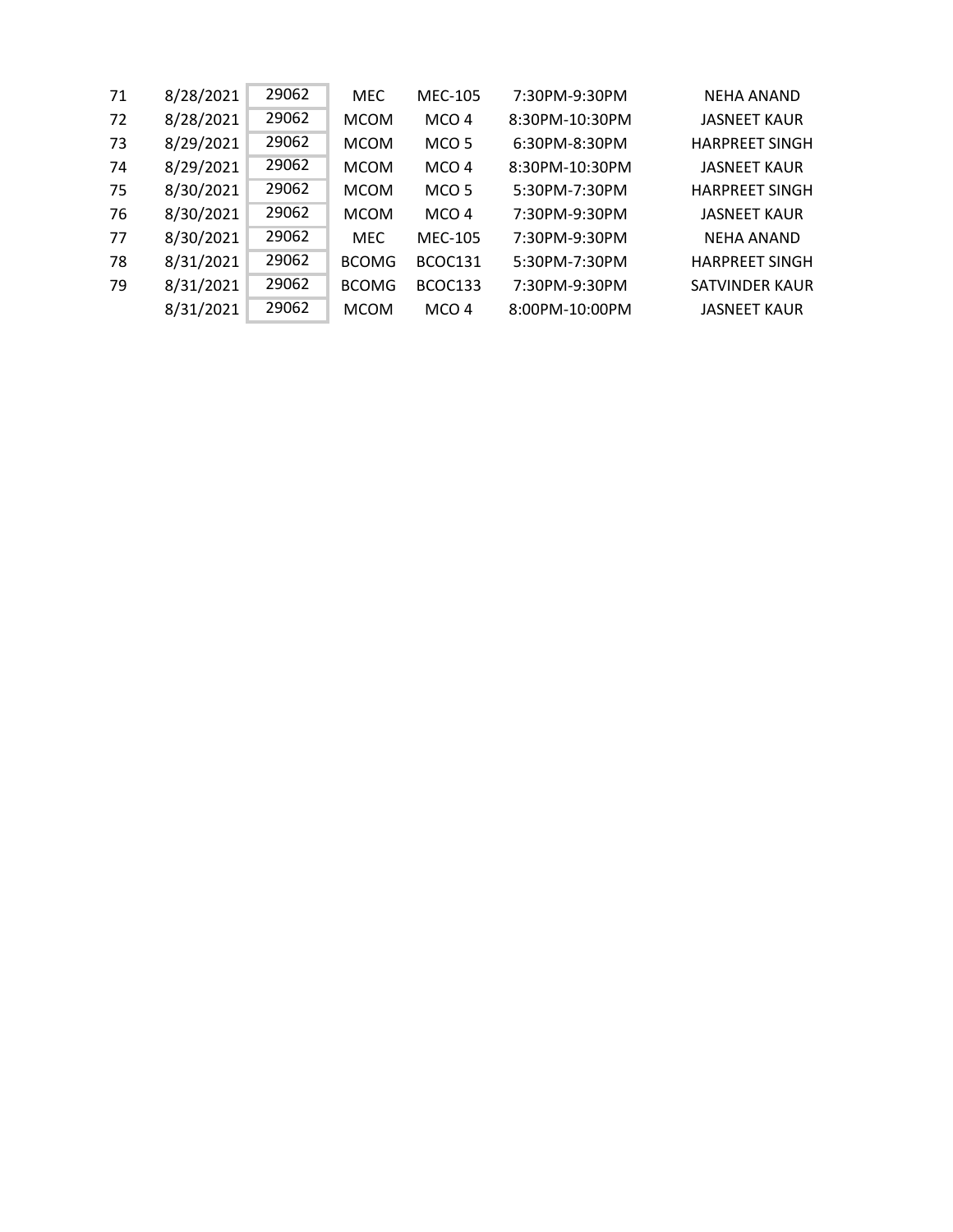| 71 | 8/28/2021 | 29062 | <b>MEC</b>   | <b>MEC-105</b>   | 7:30PM-9:30PM  | <b>NEHA ANAND</b>     |
|----|-----------|-------|--------------|------------------|----------------|-----------------------|
| 72 | 8/28/2021 | 29062 | <b>MCOM</b>  | MCO <sub>4</sub> | 8:30PM-10:30PM | <b>JASNEET KAUR</b>   |
| 73 | 8/29/2021 | 29062 | <b>MCOM</b>  | MCO <sub>5</sub> | 6:30PM-8:30PM  | <b>HARPREET SINGH</b> |
| 74 | 8/29/2021 | 29062 | <b>MCOM</b>  | MCO <sub>4</sub> | 8:30PM-10:30PM | <b>JASNEET KAUR</b>   |
| 75 | 8/30/2021 | 29062 | <b>MCOM</b>  | MCO <sub>5</sub> | 5:30PM-7:30PM  | <b>HARPREET SINGH</b> |
| 76 | 8/30/2021 | 29062 | <b>MCOM</b>  | MCO <sub>4</sub> | 7:30PM-9:30PM  | <b>JASNEET KAUR</b>   |
| 77 | 8/30/2021 | 29062 | <b>MEC</b>   | <b>MEC-105</b>   | 7:30PM-9:30PM  | <b>NEHA ANAND</b>     |
| 78 | 8/31/2021 | 29062 | <b>BCOMG</b> | BCOC131          | 5:30PM-7:30PM  | <b>HARPREET SINGH</b> |
| 79 | 8/31/2021 | 29062 | <b>BCOMG</b> | BCOC133          | 7:30PM-9:30PM  | <b>SATVINDER KAUR</b> |
|    | 8/31/2021 | 29062 | <b>MCOM</b>  | MCO <sub>4</sub> | 8:00PM-10:00PM | <b>JASNEET KAUR</b>   |
|    |           |       |              |                  |                |                       |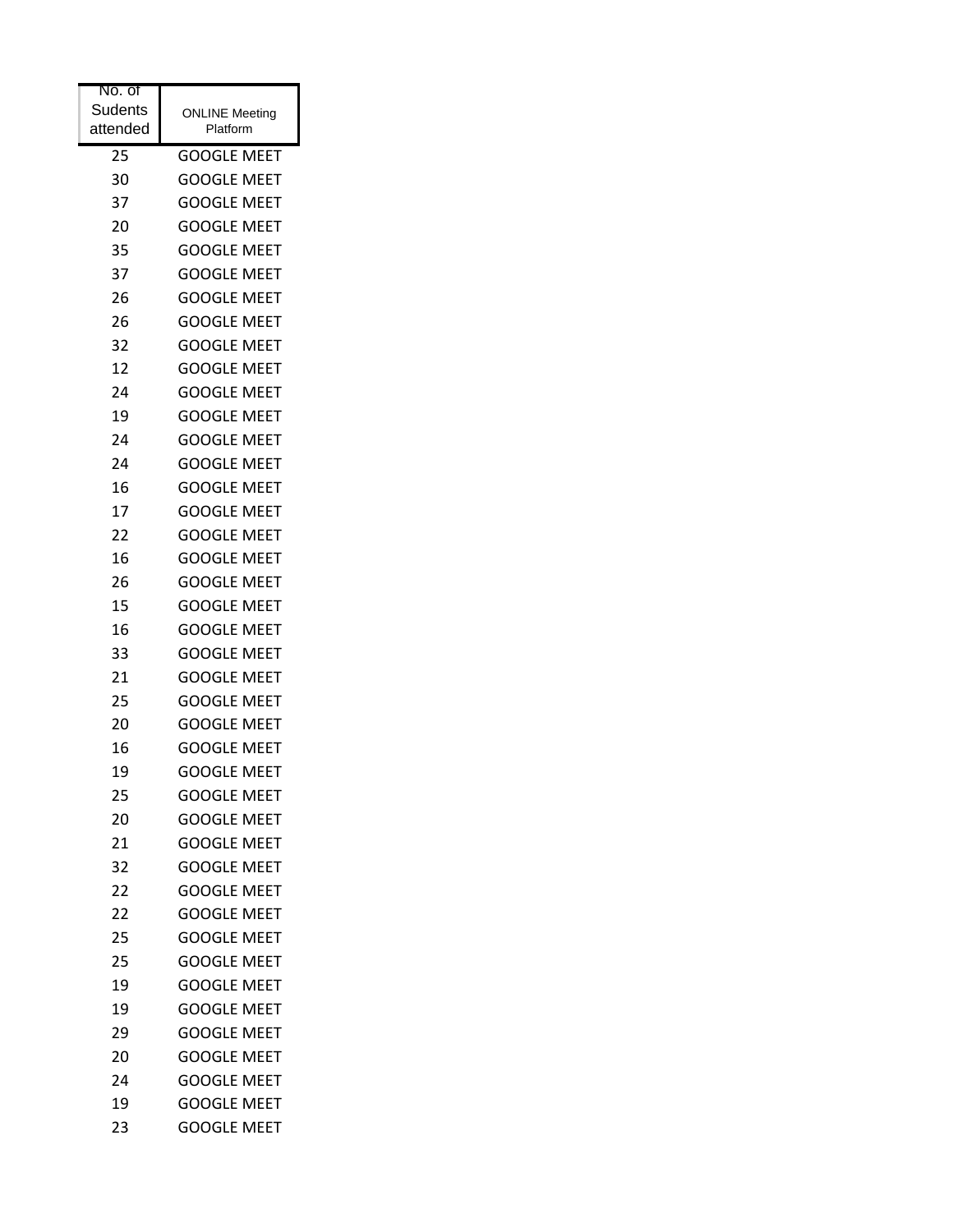| No. of<br>Sudents<br>attended | <b>ONLINE Meeting</b><br>Platform |
|-------------------------------|-----------------------------------|
| 25                            | <b>GOOGLE MEET</b>                |
| 30                            | <b>GOOGLE MEET</b>                |
| 37                            | <b>GOOGLE MEET</b>                |
| 20                            | <b>GOOGLE MEET</b>                |
| 35                            | <b>GOOGLE MEET</b>                |
| 37                            | <b>GOOGLE MEET</b>                |
| 26                            | <b>GOOGLE MEET</b>                |
| 26                            | <b>GOOGLE MEET</b>                |
| 32                            | <b>GOOGLE MEET</b>                |
| 12                            | <b>GOOGLE MEET</b>                |
| 24                            | <b>GOOGLE MEET</b>                |
| 19                            | <b>GOOGLE MEET</b>                |
| 24                            | <b>GOOGLE MEET</b>                |
| 24                            | <b>GOOGLE MEET</b>                |
| 16                            | <b>GOOGLE MEET</b>                |
| 17                            | <b>GOOGLE MEET</b>                |
| 22                            | <b>GOOGLE MEET</b>                |
| 16                            | <b>GOOGLE MEET</b>                |
| 26                            | <b>GOOGLE MEET</b>                |
| 15                            | <b>GOOGLE MEET</b>                |
| 16                            | <b>GOOGLE MEET</b>                |
| 33                            | <b>GOOGLE MEET</b>                |
| 21                            | <b>GOOGLE MEET</b>                |
| 25                            | <b>GOOGLE MEET</b>                |
| 20                            | <b>GOOGLE MEET</b>                |
| 16                            | <b>GOOGLE MEET</b>                |
| 19                            | GOOGLE MEET                       |
| 25                            | <b>GOOGLE MEET</b>                |
| 20                            | <b>GOOGLE MEET</b>                |
| 21                            | <b>GOOGLE MEET</b>                |
| 32                            | <b>GOOGLE MEET</b>                |
| 22                            | <b>GOOGLE MEET</b>                |
| 22                            | <b>GOOGLE MEET</b>                |
| 25                            | <b>GOOGLE MEET</b>                |
| 25                            | <b>GOOGLE MEET</b>                |
| 19                            | <b>GOOGLE MEET</b>                |
| 19                            | <b>GOOGLE MEET</b>                |
| 29                            | <b>GOOGLE MEET</b>                |
| 20                            | <b>GOOGLE MEET</b>                |
| 24                            | <b>GOOGLE MEET</b>                |
| 19                            | <b>GOOGLE MEET</b>                |
| 23                            | <b>GOOGLE MEET</b>                |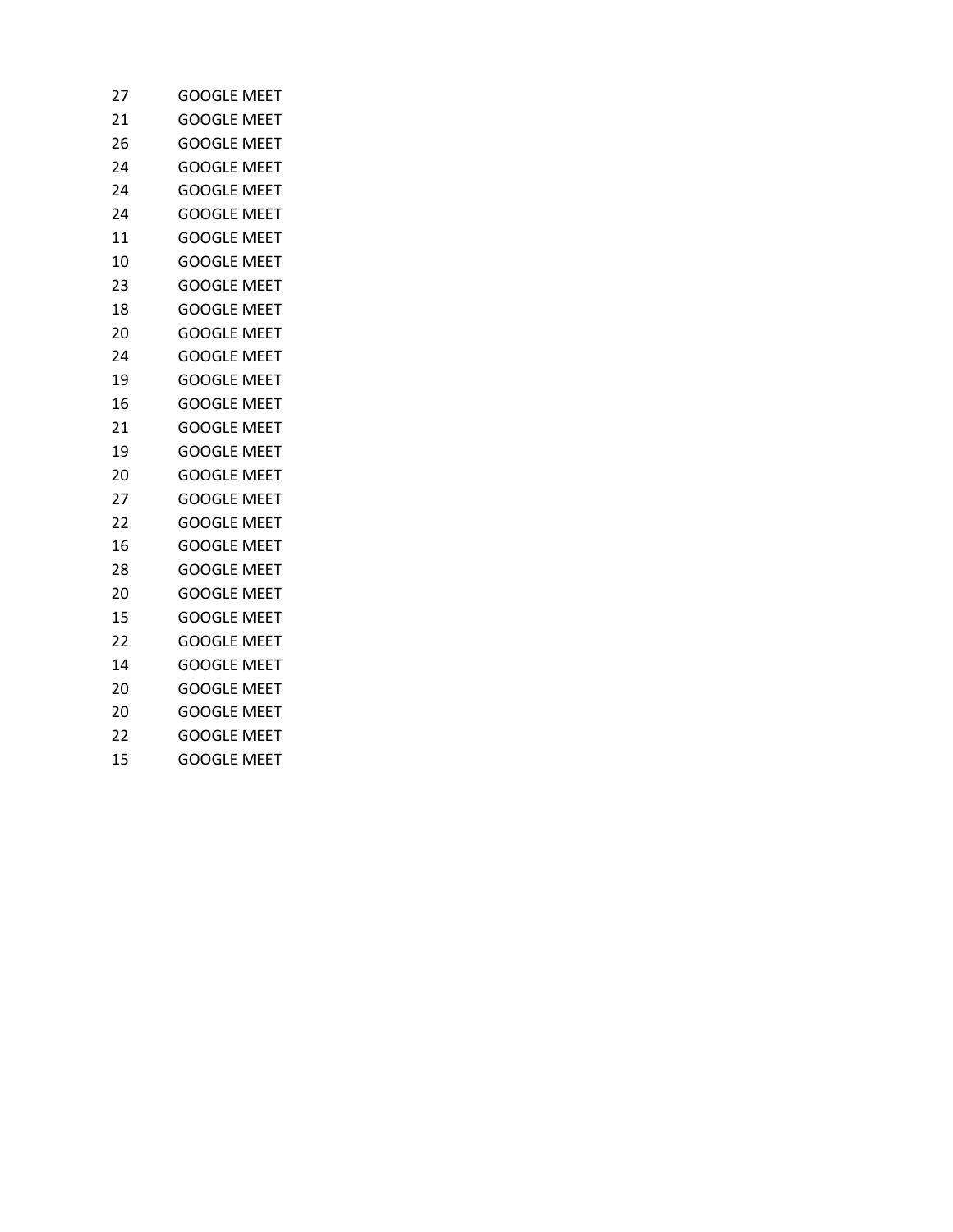| 27 | <b>GOOGLE MEET</b> |
|----|--------------------|
| 21 | <b>GOOGLE MEET</b> |
| 26 | <b>GOOGLE MEET</b> |
| 24 | <b>GOOGLE MEET</b> |
| 24 | <b>GOOGLE MEET</b> |
| 24 | <b>GOOGLE MEET</b> |
| 11 | <b>GOOGLE MEET</b> |
| 10 | <b>GOOGLE MEET</b> |
| 23 | <b>GOOGLE MEET</b> |
| 18 | <b>GOOGLE MEET</b> |
| 20 | <b>GOOGLE MEET</b> |
| 24 | <b>GOOGLE MEET</b> |
| 19 | <b>GOOGLE MEET</b> |
| 16 | <b>GOOGLE MEET</b> |
| 21 | <b>GOOGLE MEET</b> |
| 19 | <b>GOOGLE MEET</b> |
| 20 | <b>GOOGLE MEET</b> |
| 27 | <b>GOOGLE MEET</b> |
| 22 | <b>GOOGLE MEET</b> |
| 16 | <b>GOOGLE MEET</b> |
| 28 | <b>GOOGLE MEET</b> |
| 20 | <b>GOOGLE MEET</b> |
| 15 | <b>GOOGLE MEET</b> |
| 22 | <b>GOOGLE MEET</b> |
| 14 | <b>GOOGLE MEET</b> |
| 20 | <b>GOOGLE MEET</b> |
| 20 | <b>GOOGLE MEET</b> |
| 22 | <b>GOOGLE MEET</b> |
| 15 | <b>GOOGLE MEET</b> |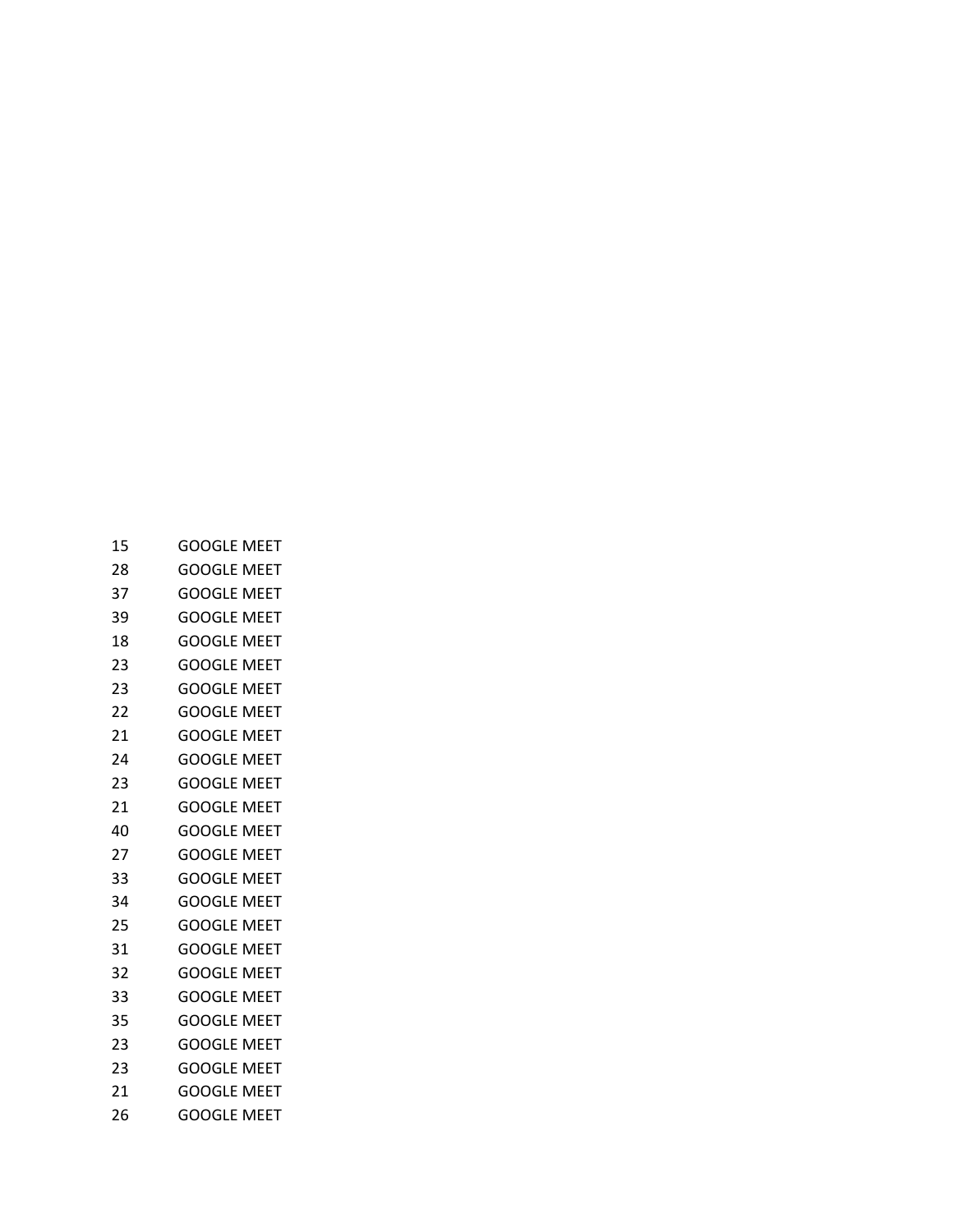| 15 | <b>GOOGLE MEET</b> |
|----|--------------------|
| 28 | <b>GOOGLE MEET</b> |
| 37 | <b>GOOGLE MEET</b> |
| 39 | <b>GOOGLE MEET</b> |
| 18 | <b>GOOGLE MEET</b> |
| 23 | <b>GOOGLE MEET</b> |
| 23 | <b>GOOGLE MEET</b> |
| 22 | <b>GOOGLE MEET</b> |
| 21 | <b>GOOGLE MEET</b> |
| 24 | <b>GOOGLE MEET</b> |
| 23 | <b>GOOGLE MEET</b> |
| 21 | <b>GOOGLE MEET</b> |
| 40 | <b>GOOGLE MEET</b> |
| 27 | <b>GOOGLE MEET</b> |
| 33 | <b>GOOGLE MEET</b> |
| 34 | <b>GOOGLE MEET</b> |
| 25 | <b>GOOGLE MEET</b> |
| 31 | <b>GOOGLE MEET</b> |
| 32 | <b>GOOGLE MEET</b> |
| 33 | <b>GOOGLE MEET</b> |
| 35 | <b>GOOGLE MEET</b> |
| 23 | <b>GOOGLE MEET</b> |
| 23 | <b>GOOGLE MEET</b> |
| 21 | <b>GOOGLE MEET</b> |
| 26 | <b>GOOGLE MEET</b> |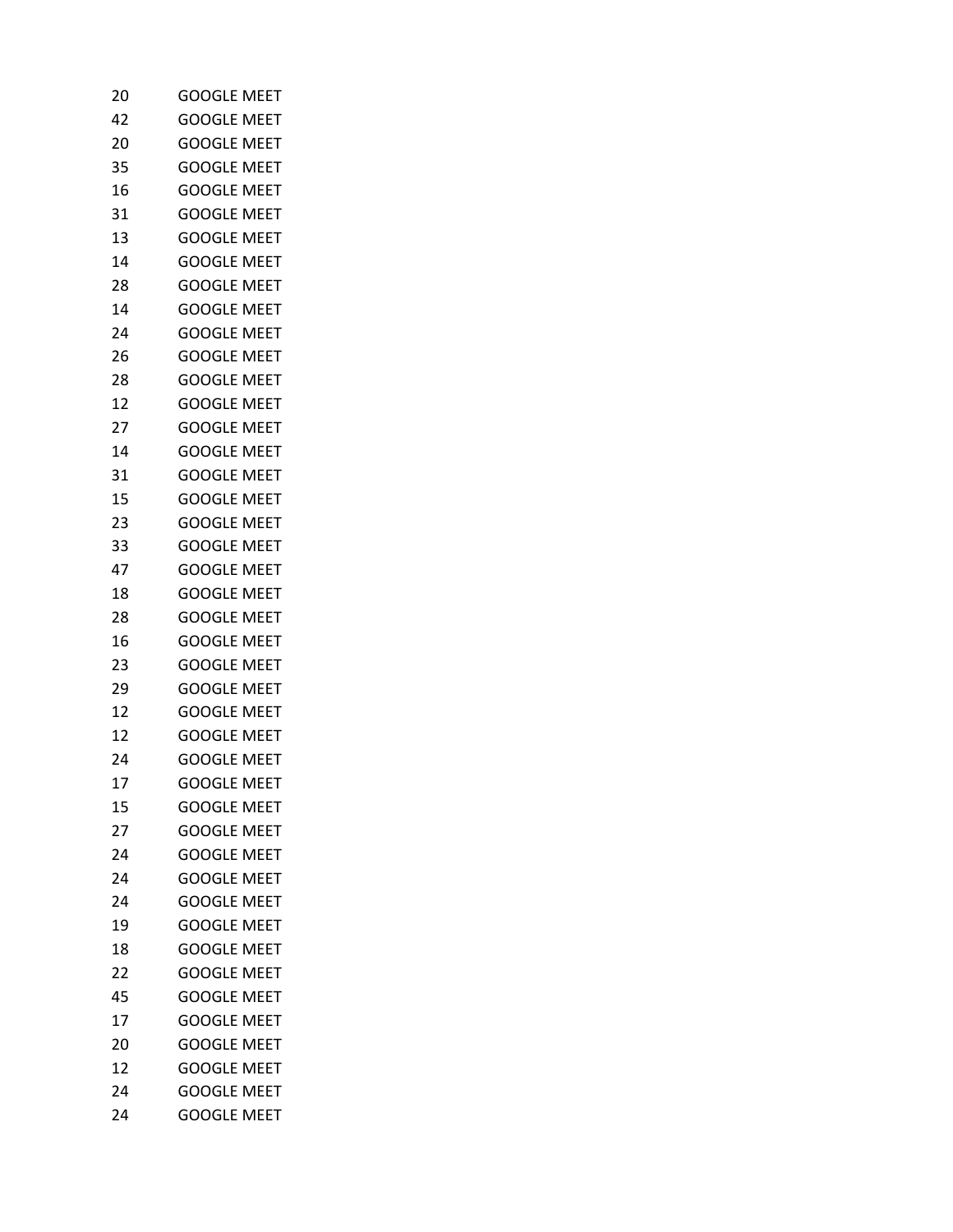| 20 | <b>GOOGLE MEET</b> |
|----|--------------------|
| 42 | <b>GOOGLE MEET</b> |
| 20 | <b>GOOGLE MEET</b> |
| 35 | <b>GOOGLE MEET</b> |
| 16 | <b>GOOGLE MEET</b> |
| 31 | <b>GOOGLE MEET</b> |
| 13 | <b>GOOGLE MEET</b> |
| 14 | <b>GOOGLE MEET</b> |
| 28 | <b>GOOGLE MEET</b> |
| 14 | <b>GOOGLE MEET</b> |
| 24 | <b>GOOGLE MEET</b> |
| 26 | <b>GOOGLE MEET</b> |
| 28 | <b>GOOGLE MEET</b> |
| 12 | <b>GOOGLE MEET</b> |
| 27 | <b>GOOGLE MEET</b> |
| 14 | <b>GOOGLE MEET</b> |
| 31 | <b>GOOGLE MEET</b> |
| 15 | <b>GOOGLE MEET</b> |
| 23 | <b>GOOGLE MEET</b> |
| 33 | <b>GOOGLE MEET</b> |
| 47 | <b>GOOGLE MEET</b> |
| 18 | <b>GOOGLE MEET</b> |
| 28 | <b>GOOGLE MEET</b> |
| 16 | <b>GOOGLE MEET</b> |
| 23 | <b>GOOGLE MEET</b> |
| 29 | <b>GOOGLE MEET</b> |
| 12 | <b>GOOGLE MEET</b> |
| 12 | <b>GOOGLE MEET</b> |
| 24 | <b>GOOGLE MEET</b> |
| 17 | <b>GOOGLE MEET</b> |
| 15 | <b>GOOGLE MEET</b> |
| 27 | <b>GOOGLE MEET</b> |
| 24 | <b>GOOGLE MEET</b> |
| 24 | <b>GOOGLE MEET</b> |
| 24 | <b>GOOGLE MEET</b> |
| 19 | <b>GOOGLE MEET</b> |
| 18 | <b>GOOGLE MEET</b> |
| 22 | <b>GOOGLE MEET</b> |
| 45 | <b>GOOGLE MEET</b> |
| 17 | <b>GOOGLE MEET</b> |
| 20 | <b>GOOGLE MEET</b> |
| 12 | <b>GOOGLE MEET</b> |
| 24 | <b>GOOGLE MEET</b> |
| 24 | <b>GOOGLE MEET</b> |